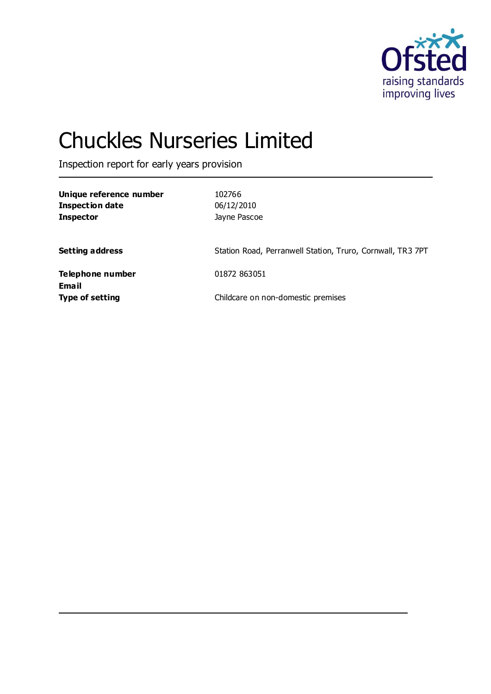

# Chuckles Nurseries Limited

Inspection report for early years provision

| Unique reference number<br><b>Inspection date</b><br><b>Inspector</b> | 102766<br>06/12/2010<br>Jayne Pascoe                       |
|-----------------------------------------------------------------------|------------------------------------------------------------|
| <b>Setting address</b>                                                | Station Road, Perranwell Station, Truro, Cornwall, TR3 7PT |
| Telephone number<br><b>Email</b>                                      | 01872 863051                                               |
| <b>Type of setting</b>                                                | Childcare on non-domestic premises                         |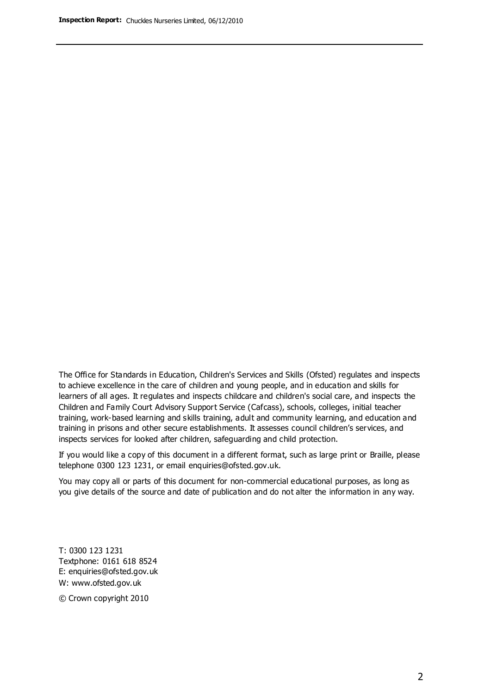The Office for Standards in Education, Children's Services and Skills (Ofsted) regulates and inspects to achieve excellence in the care of children and young people, and in education and skills for learners of all ages. It regulates and inspects childcare and children's social care, and inspects the Children and Family Court Advisory Support Service (Cafcass), schools, colleges, initial teacher training, work-based learning and skills training, adult and community learning, and education and training in prisons and other secure establishments. It assesses council children's services, and inspects services for looked after children, safeguarding and child protection.

If you would like a copy of this document in a different format, such as large print or Braille, please telephone 0300 123 1231, or email enquiries@ofsted.gov.uk.

You may copy all or parts of this document for non-commercial educational purposes, as long as you give details of the source and date of publication and do not alter the information in any way.

T: 0300 123 1231 Textphone: 0161 618 8524 E: enquiries@ofsted.gov.uk W: [www.ofsted.gov.uk](http://www.ofsted.gov.uk/)

© Crown copyright 2010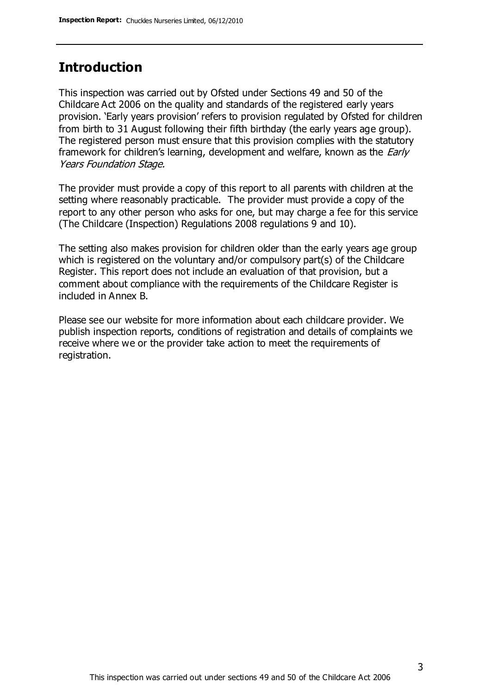### **Introduction**

This inspection was carried out by Ofsted under Sections 49 and 50 of the Childcare Act 2006 on the quality and standards of the registered early years provision. 'Early years provision' refers to provision regulated by Ofsted for children from birth to 31 August following their fifth birthday (the early years age group). The registered person must ensure that this provision complies with the statutory framework for children's learning, development and welfare, known as the *Early* Years Foundation Stage.

The provider must provide a copy of this report to all parents with children at the setting where reasonably practicable. The provider must provide a copy of the report to any other person who asks for one, but may charge a fee for this service (The Childcare (Inspection) Regulations 2008 regulations 9 and 10).

The setting also makes provision for children older than the early years age group which is registered on the voluntary and/or compulsory part(s) of the Childcare Register. This report does not include an evaluation of that provision, but a comment about compliance with the requirements of the Childcare Register is included in Annex B.

Please see our website for more information about each childcare provider. We publish inspection reports, conditions of registration and details of complaints we receive where we or the provider take action to meet the requirements of registration.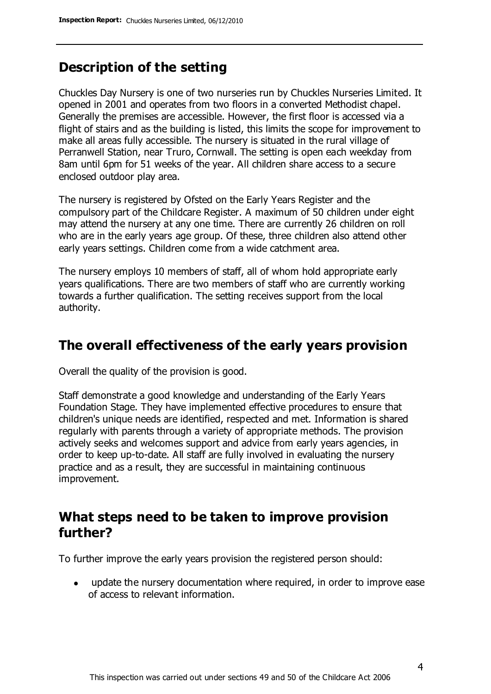## **Description of the setting**

Chuckles Day Nursery is one of two nurseries run by Chuckles Nurseries Limited. It opened in 2001 and operates from two floors in a converted Methodist chapel. Generally the premises are accessible. However, the first floor is accessed via a flight of stairs and as the building is listed, this limits the scope for improvement to make all areas fully accessible. The nursery is situated in the rural village of Perranwell Station, near Truro, Cornwall. The setting is open each weekday from 8am until 6pm for 51 weeks of the year. All children share access to a secure enclosed outdoor play area.

The nursery is registered by Ofsted on the Early Years Register and the compulsory part of the Childcare Register. A maximum of 50 children under eight may attend the nursery at any one time. There are currently 26 children on roll who are in the early years age group. Of these, three children also attend other early years settings. Children come from a wide catchment area.

The nursery employs 10 members of staff, all of whom hold appropriate early years qualifications. There are two members of staff who are currently working towards a further qualification. The setting receives support from the local authority.

### **The overall effectiveness of the early years provision**

Overall the quality of the provision is good.

Staff demonstrate a good knowledge and understanding of the Early Years Foundation Stage. They have implemented effective procedures to ensure that children's unique needs are identified, respected and met. Information is shared regularly with parents through a variety of appropriate methods. The provision actively seeks and welcomes support and advice from early years agencies, in order to keep up-to-date. All staff are fully involved in evaluating the nursery practice and as a result, they are successful in maintaining continuous improvement.

### **What steps need to be taken to improve provision further?**

To further improve the early years provision the registered person should:

update the nursery documentation where required, in order to improve ease  $\bullet$ of access to relevant information.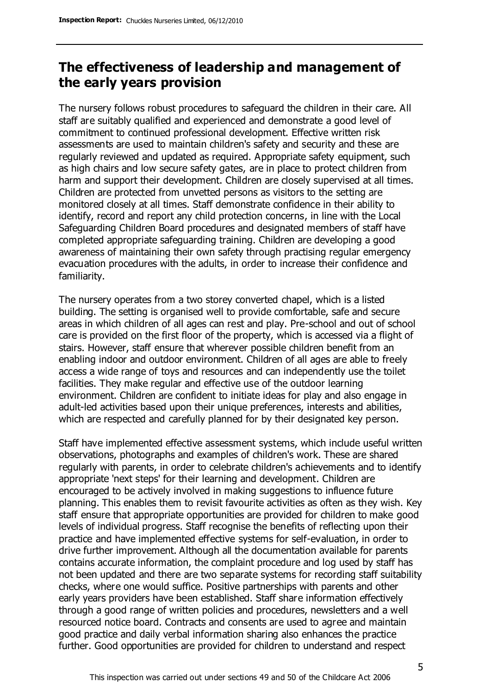# **The effectiveness of leadership and management of the early years provision**

The nursery follows robust procedures to safeguard the children in their care. All staff are suitably qualified and experienced and demonstrate a good level of commitment to continued professional development. Effective written risk assessments are used to maintain children's safety and security and these are regularly reviewed and updated as required. Appropriate safety equipment, such as high chairs and low secure safety gates, are in place to protect children from harm and support their development. Children are closely supervised at all times. Children are protected from unvetted persons as visitors to the setting are monitored closely at all times. Staff demonstrate confidence in their ability to identify, record and report any child protection concerns, in line with the Local Safeguarding Children Board procedures and designated members of staff have completed appropriate safeguarding training. Children are developing a good awareness of maintaining their own safety through practising regular emergency evacuation procedures with the adults, in order to increase their confidence and familiarity.

The nursery operates from a two storey converted chapel, which is a listed building. The setting is organised well to provide comfortable, safe and secure areas in which children of all ages can rest and play. Pre-school and out of school care is provided on the first floor of the property, which is accessed via a flight of stairs. However, staff ensure that wherever possible children benefit from an enabling indoor and outdoor environment. Children of all ages are able to freely access a wide range of toys and resources and can independently use the toilet facilities. They make regular and effective use of the outdoor learning environment. Children are confident to initiate ideas for play and also engage in adult-led activities based upon their unique preferences, interests and abilities, which are respected and carefully planned for by their designated key person.

Staff have implemented effective assessment systems, which include useful written observations, photographs and examples of children's work. These are shared regularly with parents, in order to celebrate children's achievements and to identify appropriate 'next steps' for their learning and development. Children are encouraged to be actively involved in making suggestions to influence future planning. This enables them to revisit favourite activities as often as they wish. Key staff ensure that appropriate opportunities are provided for children to make good levels of individual progress. Staff recognise the benefits of reflecting upon their practice and have implemented effective systems for self-evaluation, in order to drive further improvement. Although all the documentation available for parents contains accurate information, the complaint procedure and log used by staff has not been updated and there are two separate systems for recording staff suitability checks, where one would suffice. Positive partnerships with parents and other early years providers have been established. Staff share information effectively through a good range of written policies and procedures, newsletters and a well resourced notice board. Contracts and consents are used to agree and maintain good practice and daily verbal information sharing also enhances the practice further. Good opportunities are provided for children to understand and respect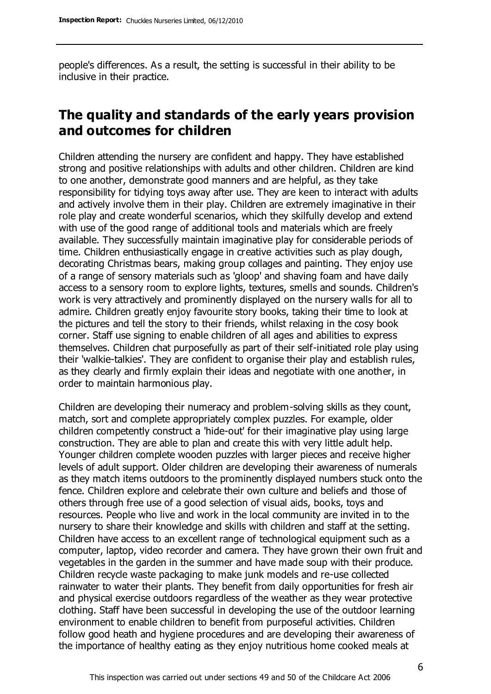people's differences. As a result, the setting is successful in their ability to be inclusive in their practice.

# **The quality and standards of the early years provision and outcomes for children**

Children attending the nursery are confident and happy. They have established strong and positive relationships with adults and other children. Children are kind to one another, demonstrate good manners and are helpful, as they take responsibility for tidying toys away after use. They are keen to interact with adults and actively involve them in their play. Children are extremely imaginative in their role play and create wonderful scenarios, which they skilfully develop and extend with use of the good range of additional tools and materials which are freely available. They successfully maintain imaginative play for considerable periods of time. Children enthusiastically engage in creative activities such as play dough, decorating Christmas bears, making group collages and painting. They enjoy use of a range of sensory materials such as 'gloop' and shaving foam and have daily access to a sensory room to explore lights, textures, smells and sounds. Children's work is very attractively and prominently displayed on the nursery walls for all to admire. Children greatly enjoy favourite story books, taking their time to look at the pictures and tell the story to their friends, whilst relaxing in the cosy book corner. Staff use signing to enable children of all ages and abilities to express themselves. Children chat purposefully as part of their self-initiated role play using their 'walkie-talkies'. They are confident to organise their play and establish rules, as they clearly and firmly explain their ideas and negotiate with one another, in order to maintain harmonious play.

Children are developing their numeracy and problem-solving skills as they count, match, sort and complete appropriately complex puzzles. For example, older children competently construct a 'hide-out' for their imaginative play using large construction. They are able to plan and create this with very little adult help. Younger children complete wooden puzzles with larger pieces and receive higher levels of adult support. Older children are developing their awareness of numerals as they match items outdoors to the prominently displayed numbers stuck onto the fence. Children explore and celebrate their own culture and beliefs and those of others through free use of a good selection of visual aids, books, toys and resources. People who live and work in the local community are invited in to the nursery to share their knowledge and skills with children and staff at the setting. Children have access to an excellent range of technological equipment such as a computer, laptop, video recorder and camera. They have grown their own fruit and vegetables in the garden in the summer and have made soup with their produce. Children recycle waste packaging to make junk models and re-use collected rainwater to water their plants. They benefit from daily opportunities for fresh air and physical exercise outdoors regardless of the weather as they wear protective clothing. Staff have been successful in developing the use of the outdoor learning environment to enable children to benefit from purposeful activities. Children follow good heath and hygiene procedures and are developing their awareness of the importance of healthy eating as they enjoy nutritious home cooked meals at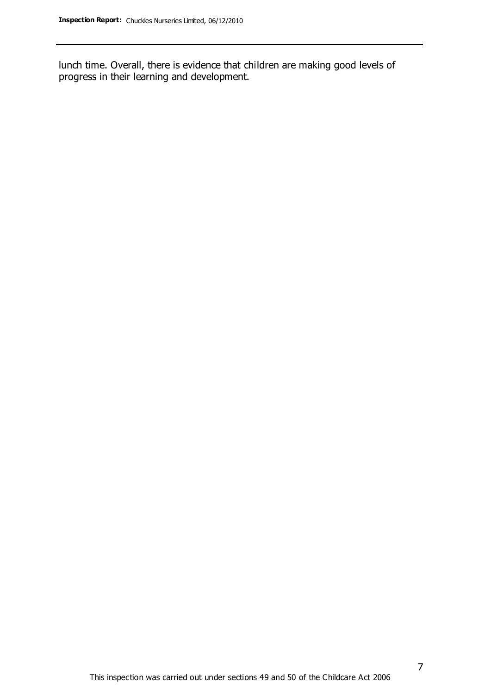lunch time. Overall, there is evidence that children are making good levels of progress in their learning and development.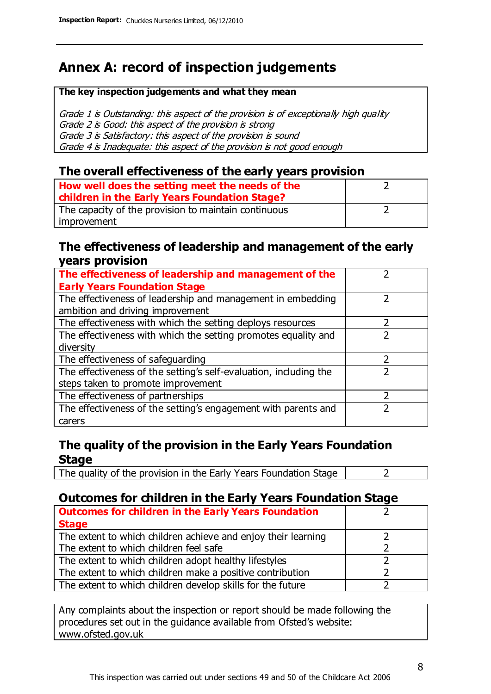# **Annex A: record of inspection judgements**

#### **The key inspection judgements and what they mean**

Grade 1 is Outstanding: this aspect of the provision is of exceptionally high quality Grade 2 is Good: this aspect of the provision is strong Grade 3 is Satisfactory: this aspect of the provision is sound Grade 4 is Inadequate: this aspect of the provision is not good enough

### **The overall effectiveness of the early years provision**

| How well does the setting meet the needs of the<br>children in the Early Years Foundation Stage? |  |
|--------------------------------------------------------------------------------------------------|--|
| The capacity of the provision to maintain continuous                                             |  |
| improvement                                                                                      |  |

### **The effectiveness of leadership and management of the early years provision**

| The effectiveness of leadership and management of the             |  |
|-------------------------------------------------------------------|--|
| <b>Early Years Foundation Stage</b>                               |  |
| The effectiveness of leadership and management in embedding       |  |
| ambition and driving improvement                                  |  |
| The effectiveness with which the setting deploys resources        |  |
| The effectiveness with which the setting promotes equality and    |  |
| diversity                                                         |  |
| The effectiveness of safeguarding                                 |  |
| The effectiveness of the setting's self-evaluation, including the |  |
| steps taken to promote improvement                                |  |
| The effectiveness of partnerships                                 |  |
| The effectiveness of the setting's engagement with parents and    |  |
| carers                                                            |  |

### **The quality of the provision in the Early Years Foundation Stage**

The quality of the provision in the Early Years Foundation Stage  $\vert$  2

### **Outcomes for children in the Early Years Foundation Stage**

| <b>Outcomes for children in the Early Years Foundation</b>    |  |
|---------------------------------------------------------------|--|
| <b>Stage</b>                                                  |  |
| The extent to which children achieve and enjoy their learning |  |
| The extent to which children feel safe                        |  |
| The extent to which children adopt healthy lifestyles         |  |
| The extent to which children make a positive contribution     |  |
| The extent to which children develop skills for the future    |  |

Any complaints about the inspection or report should be made following the procedures set out in the guidance available from Ofsted's website: www.ofsted.gov.uk